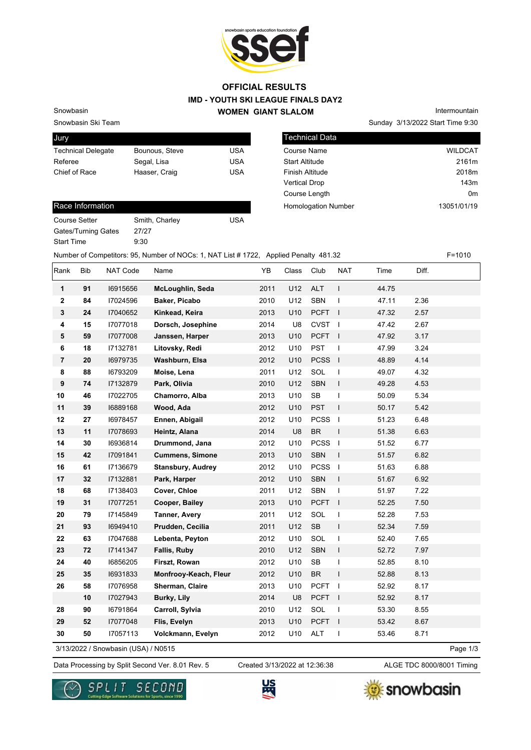

### **IMD - YOUTH SKI LEAGUE FINALS DAY2 WOMEN GIANT SLALOM OFFICIAL RESULTS**

**Tech** 

Snowbasin Ski Team Snowbasin

| Jury                      |                |     |
|---------------------------|----------------|-----|
| <b>Technical Delegate</b> | Bounous, Steve | USA |
| Referee                   | Segal, Lisa    | USA |
| Chief of Race             | Haaser, Craig  | USA |
|                           |                |     |

|                       |  | Sunday 3/13/2022 Start Time 9:30 |
|-----------------------|--|----------------------------------|
| Technical Data        |  |                                  |
| Course Name           |  | <b>WILDCAT</b>                   |
| <b>Start Altitude</b> |  | 2161m                            |
| Finish Altitude       |  | 2018m                            |
| Vertical Drop         |  | 143m                             |

Course Length **Course Length 0m** 

Homologation Number 13051/01/19

Intermountain

#### Race Information

Course Setter Smith, Charley Course Setter Gates/Turning Gates 27/27 Start Time 9:30

Number of Competitors: 95, Number of NOCs: 1, NAT List # 1722, Applied Penalty 481.32 F=1010

| Rank                                                                                                                                                                         | <b>Bib</b> | NAT Code | Name                     | YB   | Class | Club              | <b>NAT</b>   | Time  | Diff. |  |
|------------------------------------------------------------------------------------------------------------------------------------------------------------------------------|------------|----------|--------------------------|------|-------|-------------------|--------------|-------|-------|--|
| 1                                                                                                                                                                            | 91         | 16915656 | McLoughlin, Seda         | 2011 | U12   | <b>ALT</b>        | $\mathsf{I}$ | 44.75 |       |  |
| $\mathbf 2$                                                                                                                                                                  | 84         | 17024596 | Baker, Picabo            | 2010 | U12   | <b>SBN</b>        | $\mathbf{I}$ | 47.11 | 2.36  |  |
| 3                                                                                                                                                                            | 24         | 17040652 | Kinkead, Keira           | 2013 | U10   | PCFT I            |              | 47.32 | 2.57  |  |
| 4                                                                                                                                                                            | 15         | 17077018 | Dorsch, Josephine        | 2014 | U8    | <b>CVST</b>       | $\Box$       | 47.42 | 2.67  |  |
| 5                                                                                                                                                                            | 59         | 17077008 | Janssen, Harper          | 2013 | U10   | <b>PCFT</b>       | $\Box$       | 47.92 | 3.17  |  |
| 6                                                                                                                                                                            | 18         | 17132781 | Litovsky, Redi           | 2012 | U10   | <b>PST</b>        | $\mathbf{I}$ | 47.99 | 3.24  |  |
| $\overline{\mathbf{r}}$                                                                                                                                                      | 20         | 16979735 | Washburn, Elsa           | 2012 | U10   | PCSS <sub>I</sub> |              | 48.89 | 4.14  |  |
| $\bf8$                                                                                                                                                                       | 88         | 16793209 | Moise, Lena              | 2011 | U12   | SOL               | $\mathbf{I}$ | 49.07 | 4.32  |  |
| 9                                                                                                                                                                            | 74         | 17132879 | Park, Olivia             | 2010 | U12   | <b>SBN</b>        | $\mathsf{L}$ | 49.28 | 4.53  |  |
| 10                                                                                                                                                                           | 46         | 17022705 | Chamorro, Alba           | 2013 | U10   | <b>SB</b>         | $\mathbf{I}$ | 50.09 | 5.34  |  |
| 11                                                                                                                                                                           | 39         | 16889168 | Wood, Ada                | 2012 | U10   | <b>PST</b>        | $\mathbf{I}$ | 50.17 | 5.42  |  |
| 12                                                                                                                                                                           | 27         | 16978457 | Ennen, Abigail           | 2012 | U10   |                   |              | 51.23 | 6.48  |  |
| 13                                                                                                                                                                           | 11         | 17078693 | Heintz, Alana            | 2014 | U8    | <b>BR</b>         | $\mathbf{I}$ | 51.38 | 6.63  |  |
| 14                                                                                                                                                                           | 30         | 16936814 | Drummond, Jana           | 2012 | U10   |                   |              | 51.52 | 6.77  |  |
| 15                                                                                                                                                                           | 42         | 17091841 | <b>Cummens, Simone</b>   | 2013 | U10   | <b>SBN</b>        | $\mathbf{I}$ | 51.57 | 6.82  |  |
| 16                                                                                                                                                                           | 61         | 17136679 | <b>Stansbury, Audrey</b> | 2012 | U10   |                   |              | 51.63 | 6.88  |  |
| 17                                                                                                                                                                           | 32         | 17132881 | Park, Harper             | 2012 | U10   | <b>SBN</b>        | $\mathbf{I}$ | 51.67 | 6.92  |  |
| 18                                                                                                                                                                           | 68         | 17138403 | Cover, Chloe             | 2011 | U12   | SBN               | $\mathbf{I}$ | 51.97 | 7.22  |  |
| 19                                                                                                                                                                           | 31         | 17077251 | Cooper, Bailey           | 2013 | U10   | <b>PCFT</b>       |              | 52.25 | 7.50  |  |
| 20                                                                                                                                                                           | 79         | 17145849 | Tanner, Avery            | 2011 | U12   | SOL               | $\mathbf{I}$ | 52.28 | 7.53  |  |
| 21                                                                                                                                                                           | 93         | 16949410 | Prudden, Cecilia         | 2011 | U12   | <b>SB</b>         | $\mathsf{I}$ | 52.34 | 7.59  |  |
| 22                                                                                                                                                                           | 63         | 17047688 | Lebenta, Peyton          | 2012 | U10   | SOL               | $\mathbf{I}$ | 52.40 | 7.65  |  |
| 23                                                                                                                                                                           | 72         | 17141347 | Fallis, Ruby             | 2010 | U12   | <b>SBN</b>        | L            | 52.72 | 7.97  |  |
| 24                                                                                                                                                                           | 40         | 16856205 | Firszt, Rowan            | 2012 | U10   | <b>SB</b>         | T            | 52.85 | 8.10  |  |
| 25                                                                                                                                                                           | 35         | 16931833 | Monfrooy-Keach, Fleur    | 2012 | U10   | <b>BR</b>         | $\mathbf{I}$ | 52.88 | 8.13  |  |
| 26                                                                                                                                                                           | 58         | 17076958 | Sherman, Claire          | 2013 | U10   | <b>PCFT</b>       |              | 52.92 | 8.17  |  |
|                                                                                                                                                                              | 10         | 17027943 | Burky, Lily              | 2014 | U8    |                   |              | 52.92 | 8.17  |  |
| 28                                                                                                                                                                           | 90         | 16791864 | Carroll, Sylvia          | 2010 | U12   | SOL               | $\mathbf{I}$ | 53.30 | 8.55  |  |
| 29                                                                                                                                                                           | 52         | 17077048 | Flis, Evelyn             | 2013 | U10   | <b>PCFT</b>       |              | 53.42 | 8.67  |  |
| 30                                                                                                                                                                           | 50         | 17057113 | Volckmann, Evelyn        | 2012 | U10   | ALT               | $\mathbf{I}$ | 53.46 | 8.71  |  |
| PCSS I<br>PCSS I<br>PCSS <sub>I</sub><br>$\overline{\phantom{a}}$<br>$\overline{\phantom{a}}$<br>PCFT I<br>$\blacksquare$<br>3/13/2022 / Snowbasin (USA) / N0515<br>Page 1/3 |            |          |                          |      |       |                   |              |       |       |  |

Data Processing by Split Second Ver. 8.01 Rev. 5 Created 3/13/2022 at 12:36:38 ALGE TDC 8000/8001 Timing Created 3/13/2022 at 12:36:38





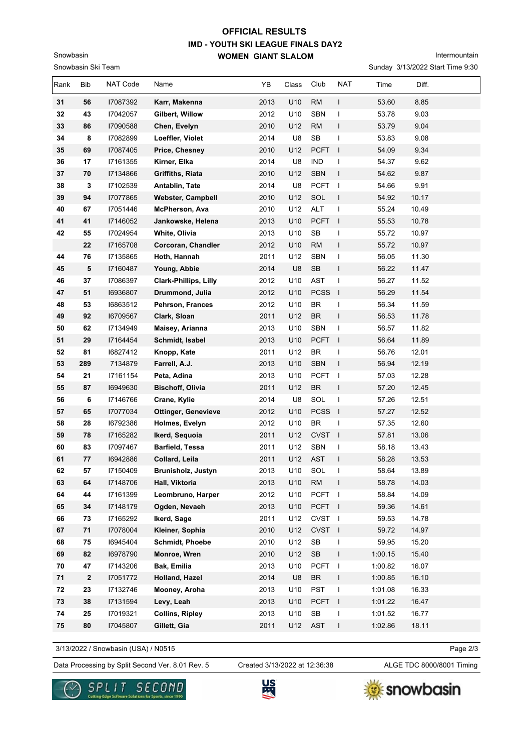# **IMD - YOUTH SKI LEAGUE FINALS DAY2 WOMEN GIANT SLALOM OFFICIAL RESULTS**

Intermountain

Sunday 3/13/2022 Start Time 9:30

| Rank     | Bib              | NAT Code             | Name                               | YB           | Class      | Club                              | NAT                      | Time           | Diff.          |
|----------|------------------|----------------------|------------------------------------|--------------|------------|-----------------------------------|--------------------------|----------------|----------------|
| 31       | 56               | 17087392             | Karr, Makenna                      | 2013         | U10        | RM                                | L                        | 53.60          | 8.85           |
| 32       | 43               | 17042057             | Gilbert, Willow                    | 2012         | U10        | <b>SBN</b>                        | $\overline{\phantom{a}}$ | 53.78          | 9.03           |
| 33       | 86               | 17090588             | Chen, Evelyn                       | 2010         | U12        | <b>RM</b>                         | T                        | 53.79          | 9.04           |
| 34       | 8                | 17082899             | Loeffler, Violet                   | 2014         | U8         | SB                                | $\mathbf{I}$             | 53.83          | 9.08           |
| 35       | 69               | 17087405             | Price, Chesney                     | 2010         | U12        | <b>PCFT</b>                       | $\mathbf{I}$             | 54.09          | 9.34           |
| 36       | 17               | I7161355             | Kirner, Elka                       | 2014         | U8         | <b>IND</b>                        | $\overline{\phantom{a}}$ | 54.37          | 9.62           |
| 37       | 70               | 17134866             | <b>Griffiths, Riata</b>            | 2010         | U12        | <b>SBN</b>                        | $\mathbf{I}$             | 54.62          | 9.87           |
| 38       | 3                | 17102539             | Antablin, Tate                     | 2014         | U8         | <b>PCFT</b>                       | $\blacksquare$           | 54.66          | 9.91           |
| 39       | 94               | 17077865             | <b>Webster, Campbell</b>           | 2010         | U12        | SOL                               | $\mathbf{I}$             | 54.92          | 10.17          |
| 40       | 67               | 17051446             | McPherson, Ava                     | 2010         | U12        | <b>ALT</b>                        | $\overline{\phantom{a}}$ | 55.24          | 10.49          |
| 41       | 41               | 17146052             | Jankowske, Helena                  | 2013         | U10        | <b>PCFT</b>                       | $\blacksquare$           | 55.53          | 10.78          |
| 42       | 55               | 17024954             | White, Olivia                      | 2013         | U10        | <b>SB</b>                         | $\overline{\phantom{a}}$ | 55.72          | 10.97          |
|          | 22               | 17165708             | Corcoran, Chandler                 | 2012         | U10        | <b>RM</b>                         | L                        | 55.72          | 10.97          |
| 44       | 76               | I7135865             | Hoth, Hannah                       | 2011         | U12        | <b>SBN</b>                        | L                        | 56.05          | 11.30          |
| 45       | 5                | 17160487             | Young, Abbie                       | 2014         | U8         | <b>SB</b>                         | T                        | 56.22          | 11.47          |
| 46       | 37               | 17086397             | <b>Clark-Phillips, Lilly</b>       | 2012         | U10        | <b>AST</b>                        | T                        | 56.27          | 11.52          |
| 47       | 51               | 16936807             | Drummond, Julia                    | 2012         | U10        | <b>PCSS</b>                       | $\blacksquare$           | 56.29          | 11.54          |
| 48       | 53               | 16863512             | Pehrson, Frances                   | 2012         | U10        | <b>BR</b>                         | $\mathsf{I}$             | 56.34          | 11.59          |
| 49       | 92               | 16709567             | Clark, Sloan                       | 2011         | U12        | <b>BR</b>                         | $\mathsf{I}$             | 56.53          | 11.78          |
| 50       | 62               | 17134949             | Maisey, Arianna                    | 2013         | U10        | <b>SBN</b>                        | T                        | 56.57          | 11.82          |
| 51       | 29               | 17164454             | Schmidt, Isabel                    | 2013         | U10        | <b>PCFT</b>                       | $\blacksquare$           | 56.64          | 11.89          |
| 52       | 81               | 16827412             | Knopp, Kate                        | 2011         | U12        | <b>BR</b>                         | $\mathbf{I}$             | 56.76          | 12.01          |
| 53       | 289              | 7134879              | Farrell, A.J.                      | 2013         | U10        | <b>SBN</b>                        | T                        | 56.94          | 12.19          |
| 54       | 21               | 17161154             | Peta, Adina                        | 2013         | U10        | <b>PCFT</b>                       | $\blacksquare$           | 57.03          | 12.28          |
| 55       | 87               | 16949630             | <b>Bischoff, Olivia</b>            | 2011         | U12        | <b>BR</b>                         | $\mathbf{I}$             | 57.20          | 12.45          |
| 56       | 6                | 17146766             | Crane, Kylie                       | 2014         | U8         | SOL                               | $\mathbf{I}$             | 57.26          | 12.51          |
| 57       | 65               | 17077034             | <b>Ottinger, Genevieve</b>         | 2012         | U10        | PCSS I                            |                          | 57.27          | 12.52          |
| 58       | 28               | 16792386             | Holmes, Evelyn                     | 2012         | U10        | <b>BR</b>                         | $\overline{\phantom{a}}$ | 57.35          | 12.60          |
| 59       | 78               | 17165282             | Ikerd, Sequoia                     | 2011         | U12        | CVST I                            |                          | 57.81          | 13.06          |
| 60       | 83               | 17097467             | <b>Barfield, Tessa</b>             | 2011         | U12        | <b>SBN</b>                        | T                        | 58.18          | 13.43          |
| 61<br>62 | 77               | 16942886             | Collard, Leila                     | 2011         | U12        | <b>AST</b>                        | T                        | 58.28          | 13.53          |
|          | 57               | 17150409             | Brunisholz, Justyn                 | 2013         | U10        | SOL                               |                          | 58.64          | 13.89          |
| 63       | 64               | 17148706             | Hall, Viktoria                     | 2013         | U10        | <b>RM</b>                         | $\mathbf{I}$             | 58.78          | 14.03          |
| 64       | 44               | 17161399             | Leombruno, Harper<br>Ogden, Nevaeh | 2012         | U10        | PCFT I                            |                          | 58.84          | 14.09          |
| 65       | 34<br>73         | 17148179             | Ikerd, Sage                        | 2013<br>2011 | U10<br>U12 | PCFT I<br>CVST I                  |                          | 59.36<br>59.53 | 14.61<br>14.78 |
| 66<br>67 | 71               | 17165292<br>17078004 | Kleiner, Sophia                    | 2010         | U12        | CVST I                            |                          | 59.72          | 14.97          |
|          | 75               | 16945404             | <b>Schmidt, Phoebe</b>             |              | U12        | $\ensuremath{\mathsf{SB}}$        | $\mathbf{I}$             | 59.95          | 15.20          |
| 68<br>69 | 82               | 16978790             | Monroe, Wren                       | 2010<br>2010 | U12        | $\mathsf{SB}\xspace$              | T                        | 1:00.15        | 15.40          |
| 70       | 47               | 17143206             | Bak, Emilia                        | 2013         | U10        | <b>PCFT</b>                       | $\overline{\phantom{a}}$ | 1:00.82        | 16.07          |
| 71       | $\boldsymbol{2}$ | 17051772             | Holland, Hazel                     | 2014         | U8         | $\ensuremath{\mathsf{BR}}\xspace$ | T                        | 1:00.85        | 16.10          |
| 72       | 23               | 17132746             | Mooney, Aroha                      | 2013         | U10        | <b>PST</b>                        | T                        | 1:01.08        | 16.33          |
| 73       | 38               | 17131594             | Levy, Leah                         | 2013         | U10        | <b>PCFT</b>                       | $\Box$                   | 1:01.22        | 16.47          |
| 74       | 25               | 17019321             | <b>Collins, Ripley</b>             | 2013         | U10        | $\mathsf{SB}\xspace$              | $\mathbf{I}$             | 1:01.52        | 16.77          |
| 75       | 80               | 17045807             | Gillett, Gia                       | 2011         | U12        | AST                               | T                        | 1:02.86        | 18.11          |
|          |                  |                      |                                    |              |            |                                   |                          |                |                |

3/13/2022 / Snowbasin (USA) / N0515

Snowbasin Ski Team

Snowbasin

Data Processing by Split Second Ver. 8.01 Rev. 5 Created 3/13/2022 at 12:36:38 ALGE TDC 8000/8001 Timing Created 3/13/2022 at 12:36:38

Page 2/3